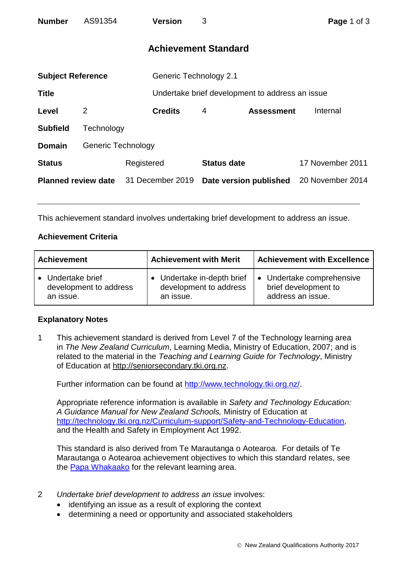| <b>Number</b>              | AS91354                   |            | <b>Version</b>                                  | 3                           |                   | Page 1 of 3      |  |
|----------------------------|---------------------------|------------|-------------------------------------------------|-----------------------------|-------------------|------------------|--|
|                            |                           |            |                                                 | <b>Achievement Standard</b> |                   |                  |  |
| <b>Subject Reference</b>   |                           |            | <b>Generic Technology 2.1</b>                   |                             |                   |                  |  |
| <b>Title</b>               |                           |            | Undertake brief development to address an issue |                             |                   |                  |  |
| Level                      | $\overline{2}$            |            | <b>Credits</b>                                  | 4                           | <b>Assessment</b> | Internal         |  |
| <b>Subfield</b>            | Technology                |            |                                                 |                             |                   |                  |  |
| <b>Domain</b>              | <b>Generic Technology</b> |            |                                                 |                             |                   |                  |  |
| <b>Status</b>              |                           | Registered |                                                 | <b>Status date</b>          |                   | 17 November 2011 |  |
| <b>Planned review date</b> |                           |            | 31 December 2019                                | Date version published      |                   | 20 November 2014 |  |
|                            |                           |            |                                                 |                             |                   |                  |  |
|                            |                           |            |                                                 |                             |                   |                  |  |

This achievement standard involves undertaking brief development to address an issue.

## **Achievement Criteria**

| <b>Achievement</b>     | <b>Achievement with Merit</b> | <b>Achievement with Excellence</b> |  |
|------------------------|-------------------------------|------------------------------------|--|
| • Undertake brief      | • Undertake in-depth brief    | • Undertake comprehensive          |  |
| development to address | development to address        | brief development to               |  |
| an issue.              | an issue.                     | address an issue.                  |  |

## **Explanatory Notes**

1 This achievement standard is derived from Level 7 of the Technology learning area in *The New Zealand Curriculum*, Learning Media, Ministry of Education, 2007; and is related to the material in the *Teaching and Learning Guide for Technology*, Ministry of Education at [http://seniorsecondary.tki.org.nz.](http://seniorsecondary.tki.org.nz/)

Further information can be found at [http://www.technology.tki.org.nz/.](http://www.technology.tki.org.nz/)

Appropriate reference information is available in *Safety and Technology Education: A Guidance Manual for New Zealand Schools,* Ministry of Education at [http://technology.tki.org.nz/Curriculum-support/Safety-and-Technology-Education,](http://technology.tki.org.nz/Curriculum-support/Safety-and-Technology-Education) and the Health and Safety in Employment Act 1992.

This standard is also derived from Te Marautanga o Aotearoa. For details of Te Marautanga o Aotearoa achievement objectives to which this standard relates, see the [Papa Whakaako](http://tmoa.tki.org.nz/Te-Marautanga-o-Aotearoa/Taumata-Matauranga-a-Motu-Ka-Taea) for the relevant learning area.

- 2 *Undertake brief development to address an issue* involves:
	- identifying an issue as a result of exploring the context
	- determining a need or opportunity and associated stakeholders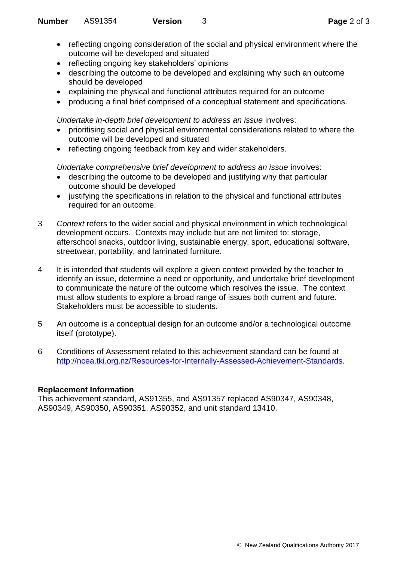- reflecting ongoing consideration of the social and physical environment where the outcome will be developed and situated
- reflecting ongoing key stakeholders' opinions
- describing the outcome to be developed and explaining why such an outcome should be developed
- explaining the physical and functional attributes required for an outcome
- producing a final brief comprised of a conceptual statement and specifications.

*Undertake in-depth brief development to address an issue involves:* 

- prioritising social and physical environmental considerations related to where the outcome will be developed and situated
- reflecting ongoing feedback from key and wider stakeholders.

*Undertake comprehensive brief development to address an issue involves:* 

- describing the outcome to be developed and justifying why that particular outcome should be developed
- justifying the specifications in relation to the physical and functional attributes required for an outcome.
- 3 *Context* refers to the wider social and physical environment in which technological development occurs. Contexts may include but are not limited to: storage, afterschool snacks, outdoor living, sustainable energy, sport, educational software, streetwear, portability, and laminated furniture.
- 4 It is intended that students will explore a given context provided by the teacher to identify an issue, determine a need or opportunity, and undertake brief development to communicate the nature of the outcome which resolves the issue. The context must allow students to explore a broad range of issues both current and future. Stakeholders must be accessible to students.
- 5 An outcome is a conceptual design for an outcome and/or a technological outcome itself (prototype).
- 6 Conditions of Assessment related to this achievement standard can be found at [http://ncea.tki.org.nz/Resources-for-Internally-Assessed-Achievement-Standards.](http://ncea.tki.org.nz/Resources-for-Internally-Assessed-Achievement-Standards)

## **Replacement Information**

This achievement standard, AS91355, and AS91357 replaced AS90347, AS90348, AS90349, AS90350, AS90351, AS90352, and unit standard 13410.